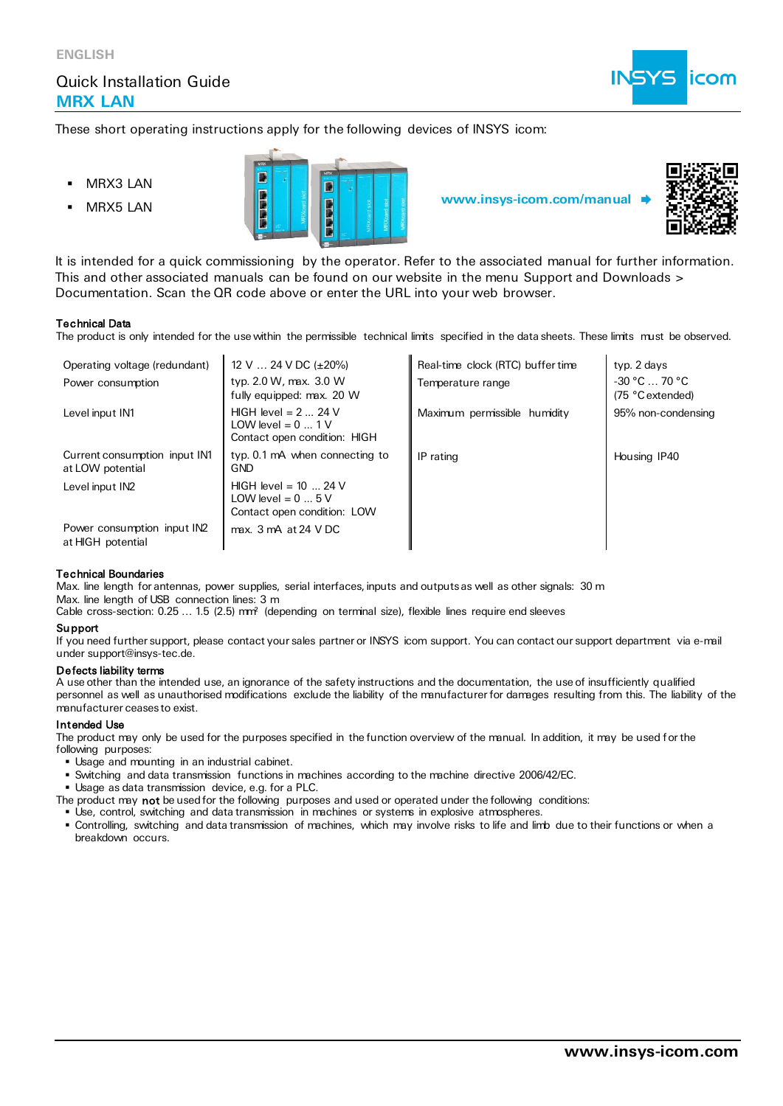

These short operating instructions apply for the following devices of INSYS icom:

- MRX3 LAN
- 





It is intended for a quick commissioning by the operator. Refer to the associated manual for further information. This and other associated manuals can be found on our website in the menu Support and Downloads > Documentation. Scan the QR code above or enter the URL into your web browser.

### Technical Data

The product is only intended for the use within the permissible technical limits specified in the data sheets. These limits must be observed.

| Operating voltage (redundant)                     | 12 V $\ldots$ 24 V DC ( $\pm$ 20%)                                                  | Real-time clock (RTC) buffer time | typ. 2 days                           |
|---------------------------------------------------|-------------------------------------------------------------------------------------|-----------------------------------|---------------------------------------|
| Power consumption                                 | typ. 2.0 W, max. 3.0 W<br>fully equipped: max. 20 W                                 | Temperature range                 | $-30 °C$ $-70 °C$<br>(75 °C extended) |
| Level input IN1                                   | HIGH level = $2 \dots 24$ V<br>LOW level = $0$ 1 V<br>Contact open condition: HIGH  | Maximum permissible humidity      | 95% non-condensing                    |
| Current consumption input IN1<br>at LOW potential | typ. 0.1 mA when connecting to<br><b>GND</b>                                        | IP rating                         | Housing IP40                          |
| Level input IN2                                   | $HIGH$ level = 10  24 V<br>LOW level = $0 \dots 5$ V<br>Contact open condition: LOW |                                   |                                       |
| Power consumption input IN2<br>at HIGH potential  | max. 3 mA at 24 VDC                                                                 |                                   |                                       |

#### Technical Boundaries

Max. line length for antennas, power supplies, serial interfaces, inputs and outputs as well as other signals: 30 m Max. line length of USB connection lines: 3 m

Cable cross-section: 0.25 … 1.5 (2.5) mm² (depending on terminal size), flexible lines require end sleeves

#### Support

If you need further support, please contact your sales partner or INSYS icom support. You can contact our support department via e-mail under support@insys-tec.de.

#### Defects liability terms

A use other than the intended use, an ignorance of the safety instructions and the documentation, the use of insufficiently qualified personnel as well as unauthorised modifications exclude the liability of the manufacturer for damages resulting from this. The liability of the manufacturer ceases to exist.

#### Intended Use

The product may only be used for the purposes specified in the function overview of the manual. In addition, it may be used for the following purposes:

- Usage and mounting in an industrial cabinet.
- Switching and data transmission functions in machines according to the machine directive 2006/42/EC.
- Usage as data transmission device, e.g. for a PLC.
- The product may not be used for the following purposes and used or operated under the following conditions:
- **.** Use, control, switching and data transmission in machines or systems in explosive atmospheres.
- Controlling, switching and data transmission of machines, which may involve risks to life and limb due to their functions or when a breakdown occurs.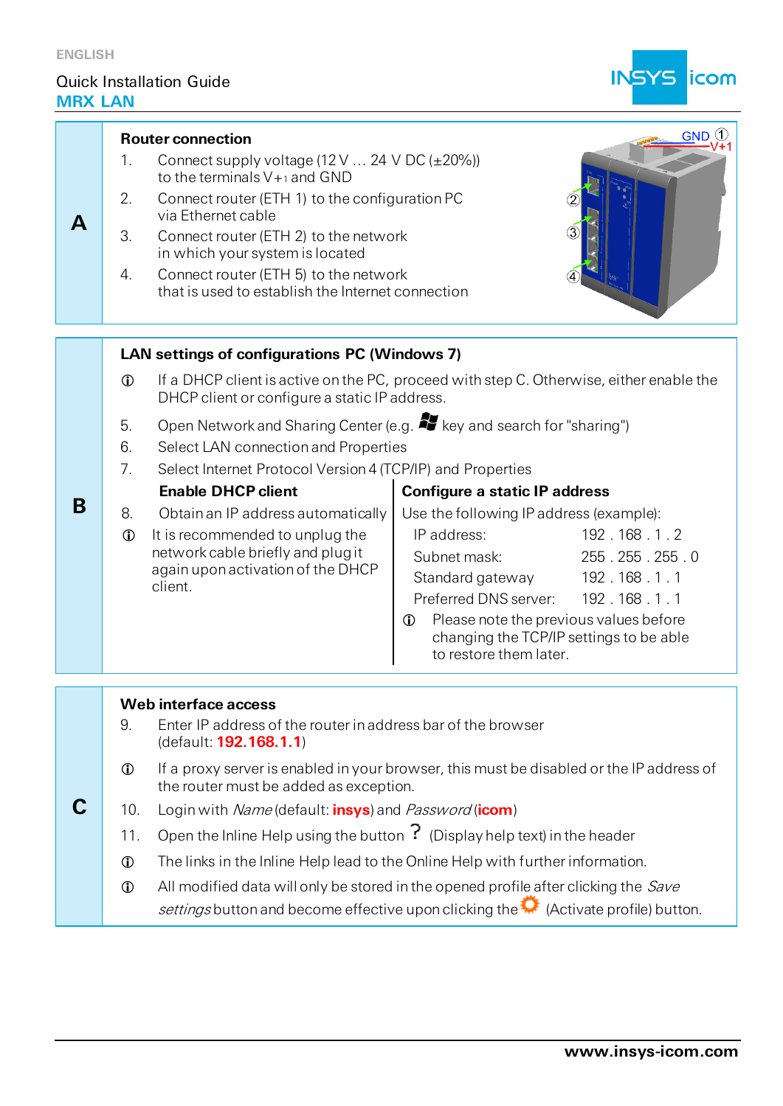

| <b>KX LAN</b> |                                               |                                                                                                                                          |                                                                                                  |               |  |
|---------------|-----------------------------------------------|------------------------------------------------------------------------------------------------------------------------------------------|--------------------------------------------------------------------------------------------------|---------------|--|
|               |                                               | $\left( 1\right)$<br><b>GND</b><br><b>Router connection</b>                                                                              |                                                                                                  |               |  |
|               | 1.                                            | Connect supply voltage $(12 \text{ V} \dots 24 \text{ V} \text{ DC } (\pm 20\%)$<br>to the terminals $V_{\pm 1}$ and GND                 |                                                                                                  |               |  |
| Α             | 2.                                            | Connect router (ETH 1) to the configuration PC<br>via Ethernet cable                                                                     |                                                                                                  |               |  |
|               | 3.                                            | Connect router (ETH 2) to the network<br>in which your system is located                                                                 |                                                                                                  |               |  |
|               | 4.                                            | Connect router (ETH 5) to the network<br>that is used to establish the Internet connection                                               |                                                                                                  |               |  |
|               |                                               |                                                                                                                                          |                                                                                                  |               |  |
|               | LAN settings of configurations PC (Windows 7) |                                                                                                                                          |                                                                                                  |               |  |
|               | $\mathbf 0$                                   | If a DHCP client is active on the PC, proceed with step C. Otherwise, either enable the<br>DHCP client or configure a static IP address. |                                                                                                  |               |  |
|               | 5.                                            |                                                                                                                                          | Open Network and Sharing Center (e.g. <b>27</b> key and search for "sharing")                    |               |  |
|               | 6.                                            | Select LAN connection and Properties                                                                                                     |                                                                                                  |               |  |
|               | 7.                                            | Select Internet Protocol Version 4 (TCP/IP) and Properties                                                                               |                                                                                                  |               |  |
|               |                                               | <b>Enable DHCP client</b>                                                                                                                | <b>Configure a static IP address</b>                                                             |               |  |
| B             | 8.                                            | Obtain an IP address automatically                                                                                                       | Use the following IP address (example):                                                          |               |  |
|               | $\mathbb{O}$                                  | It is recommended to unplug the                                                                                                          | IP address:                                                                                      | 192.168.1.2   |  |
|               |                                               | network cable briefly and plug it<br>again upon activation of the DHCP                                                                   | Subnet mask:                                                                                     | 255.255.255.0 |  |
|               |                                               | client.                                                                                                                                  | Standard gateway 192.168.1.1                                                                     |               |  |
|               |                                               |                                                                                                                                          | Preferred DNS server: 192.168.1.1                                                                |               |  |
|               |                                               |                                                                                                                                          | Please note the previous values before<br>$\mathbf 0$<br>changing the TCP/IP settings to be able |               |  |
|               |                                               |                                                                                                                                          | to restore them later.                                                                           |               |  |

# **Web interface access**

**C**

- 9. Enter IP address of the router in address bar of the browser (default: **192.168.1.1**)
- If a proxy server is enabled in your browser, this must be disabled or the IP address of the router must be added as exception.
- 10. Login with Name (default: **insys**) and Password (**icom**)
	- 11. Open the Inline Help using the button  $\overline{?}$  (Display help text) in the header
	- The links in the Inline Help lead to the Online Help with further information.
	- $\Phi$  All modified data will only be stored in the opened profile after clicking the *Save* settings button and become effective upon clicking the  $\bullet$  (Activate profile) button.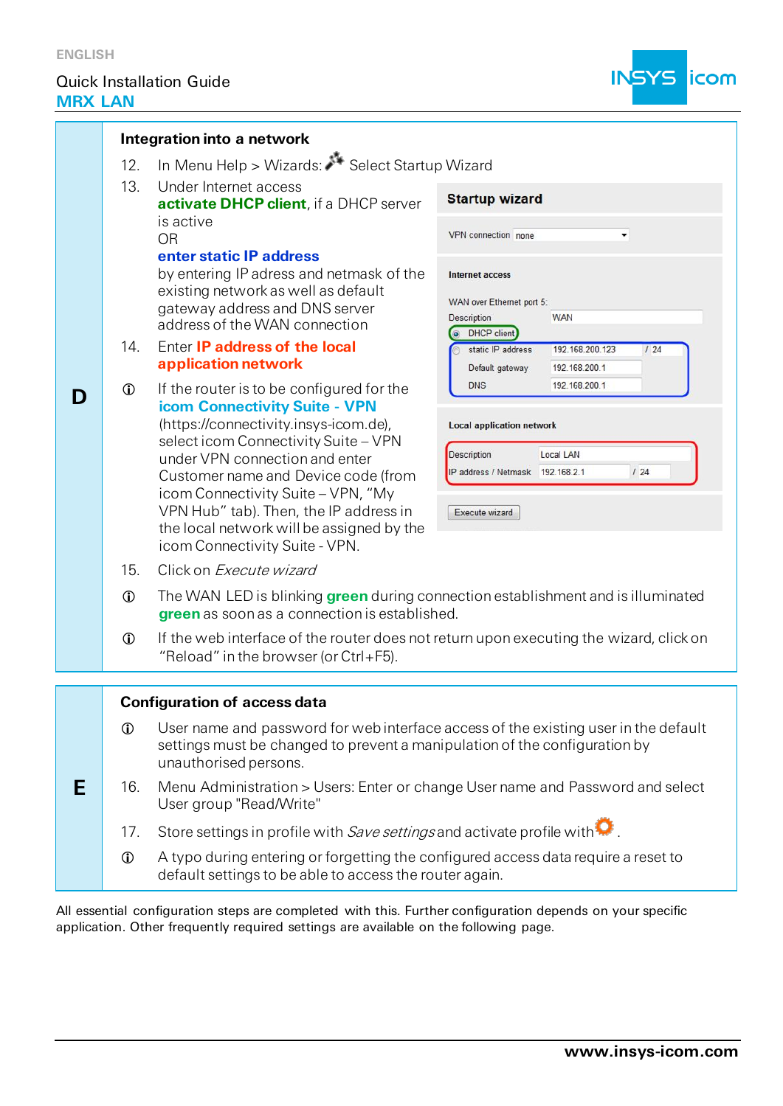

|   | Integration into a network                           |                                                                                                                                                                                                                                                                                                                                                        |                                                                                                                                  |  |  |
|---|------------------------------------------------------|--------------------------------------------------------------------------------------------------------------------------------------------------------------------------------------------------------------------------------------------------------------------------------------------------------------------------------------------------------|----------------------------------------------------------------------------------------------------------------------------------|--|--|
|   | In Menu Help > Wizards: Select Startup Wizard<br>12. |                                                                                                                                                                                                                                                                                                                                                        |                                                                                                                                  |  |  |
|   | 13.                                                  | Under Internet access<br>activate DHCP client, if a DHCP server                                                                                                                                                                                                                                                                                        | <b>Startup wizard</b>                                                                                                            |  |  |
|   |                                                      | is active<br><b>OR</b><br>enter static IP address                                                                                                                                                                                                                                                                                                      | VPN connection none<br>۰                                                                                                         |  |  |
|   |                                                      | by entering IP adress and netmask of the<br>existing network as well as default                                                                                                                                                                                                                                                                        | Internet access<br>WAN over Ethernet port 5:                                                                                     |  |  |
|   |                                                      | gateway address and DNS server<br>address of the WAN connection                                                                                                                                                                                                                                                                                        | Description<br><b>WAN</b>                                                                                                        |  |  |
|   | 14.                                                  | Enter IP address of the local<br>application network                                                                                                                                                                                                                                                                                                   | O DHCP client<br>static IP address<br>192.168.200.123<br>124<br>Default gateway<br>192.168.200.1                                 |  |  |
| D | $\mathbf 0$                                          | If the router is to be configured for the                                                                                                                                                                                                                                                                                                              | <b>DNS</b><br>192.168.200.1                                                                                                      |  |  |
|   |                                                      | icom Connectivity Suite - VPN<br>(https://connectivity.insys-icom.de),<br>select icom Connectivity Suite - VPN<br>under VPN connection and enter<br>Customer name and Device code (from<br>icom Connectivity Suite - VPN, "My<br>VPN Hub" tab). Then, the IP address in<br>the local network will be assigned by the<br>icom Connectivity Suite - VPN. | <b>Local application network</b><br><b>Description</b><br>Local LAN<br>124<br>IP address / Netmask 192.168.2.1<br>Execute wizard |  |  |
|   | 15.                                                  | Click on Execute wizard                                                                                                                                                                                                                                                                                                                                |                                                                                                                                  |  |  |
|   | $\mathbf 0$                                          | The WAN LED is blinking green during connection establishment and is illuminated<br>green as soon as a connection is established.                                                                                                                                                                                                                      |                                                                                                                                  |  |  |
|   | $\mathbf 0$                                          | If the web interface of the router does not return upon executing the wizard, click on<br>"Reload" in the browser (or Ctrl+F5).                                                                                                                                                                                                                        |                                                                                                                                  |  |  |
|   |                                                      | <b>Configuration of access data</b>                                                                                                                                                                                                                                                                                                                    |                                                                                                                                  |  |  |
|   | $\mathbf 0$                                          | User name and password for web interface access of the existing user in the default<br>settings must be changed to prevent a manipulation of the configuration by<br>unauthorised persons.                                                                                                                                                             |                                                                                                                                  |  |  |
| Е | 16.                                                  | Menu Administration > Users: Enter or change User name and Password and select<br>User group "Read/Write"                                                                                                                                                                                                                                              |                                                                                                                                  |  |  |

- 17. Store settings in profile with Save settings and activate profile with  $\color{blue}\blacktriangleright$
- A typo during entering or forgetting the configured access data require a reset to default settings to be able to access the router again.

All essential configuration steps are completed with this. Further configuration depends on your specific application. Other frequently required settings are available on the following page.